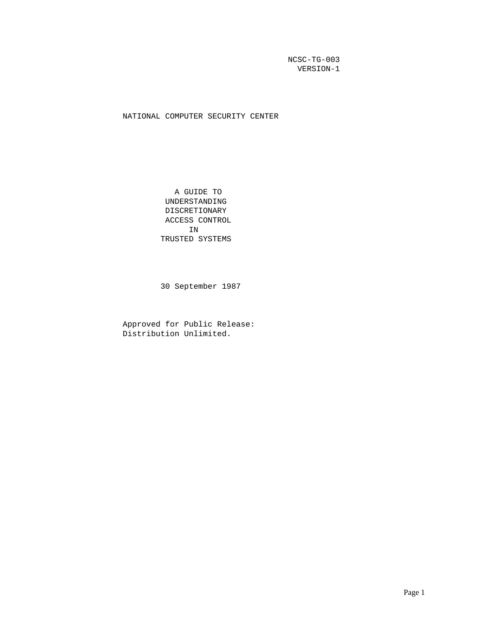NCSC-TG-003 VERSION-1

# NATIONAL COMPUTER SECURITY CENTER

 A GUIDE TO UNDERSTANDING DISCRETIONARY ACCESS CONTROL IN TRUSTED SYSTEMS

30 September 1987

 Approved for Public Release: Distribution Unlimited.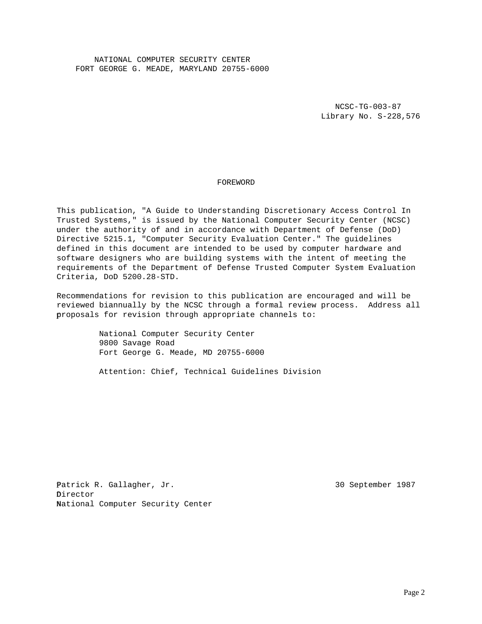NATIONAL COMPUTER SECURITY CENTER FORT GEORGE G. MEADE, MARYLAND 20755-6000

> NCSC-TG-003-87 Library No. S-228,576

# FOREWORD

This publication, "A Guide to Understanding Discretionary Access Control In Trusted Systems," is issued by the National Computer Security Center (NCSC) under the authority of and in accordance with Department of Defense (DoD) Directive 5215.1, "Computer Security Evaluation Center." The guidelines defined in this document are intended to be used by computer hardware and software designers who are building systems with the intent of meeting the requirements of the Department of Defense Trusted Computer System Evaluation Criteria, DoD 5200.28-STD.

Recommendations for revision to this publication are encouraged and will be reviewed biannually by the NCSC through a formal review process. Address all proposals for revision through appropriate channels to:

> National Computer Security Center 9800 Savage Road Fort George G. Meade, MD 20755-6000

Attention: Chief, Technical Guidelines Division

Patrick R. Gallagher, Jr. 30 September 1987 Director National Computer Security Center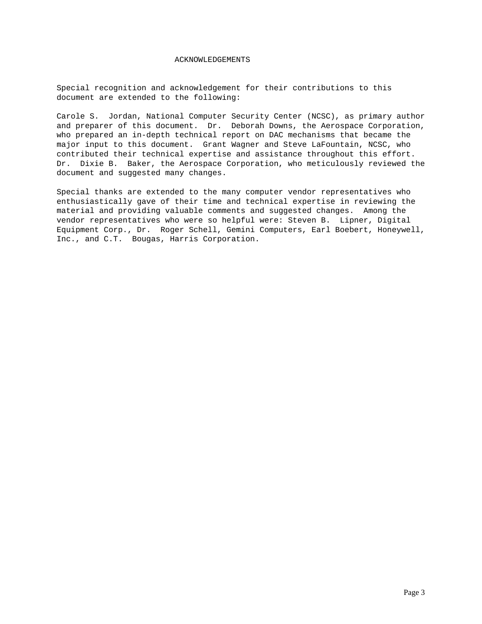## ACKNOWLEDGEMENTS

Special recognition and acknowledgement for their contributions to this document are extended to the following:

Carole S. Jordan, National Computer Security Center (NCSC), as primary author and preparer of this document. Dr. Deborah Downs, the Aerospace Corporation, who prepared an in-depth technical report on DAC mechanisms that became the major input to this document. Grant Wagner and Steve LaFountain, NCSC, who contributed their technical expertise and assistance throughout this effort. Dr. Dixie B. Baker, the Aerospace Corporation, who meticulously reviewed the document and suggested many changes.

Special thanks are extended to the many computer vendor representatives who enthusiastically gave of their time and technical expertise in reviewing the material and providing valuable comments and suggested changes. Among the vendor representatives who were so helpful were: Steven B. Lipner, Digital Equipment Corp., Dr. Roger Schell, Gemini Computers, Earl Boebert, Honeywell, Inc., and C.T. Bougas, Harris Corporation.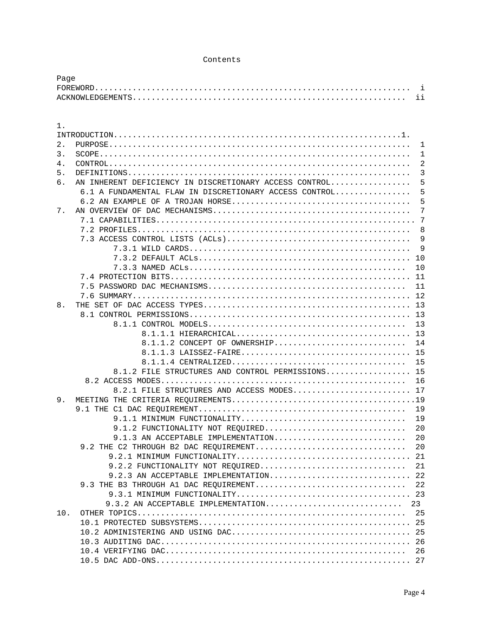# Contents

| Page  |                                                        |                |
|-------|--------------------------------------------------------|----------------|
|       | - i                                                    |                |
|       |                                                        |                |
|       |                                                        |                |
|       |                                                        |                |
| 1.    |                                                        |                |
|       |                                                        |                |
| $2$ . |                                                        | 1              |
|       |                                                        |                |
| 3.    |                                                        | 1              |
| 4.    |                                                        | $\overline{2}$ |
| 5.    |                                                        | 3              |
| б.    | AN INHERENT DEFICIENCY IN DISCRETIONARY ACCESS CONTROL | 5              |
|       | 6.1 A FUNDAMENTAL FLAW IN DISCRETIONARY ACCESS CONTROL | 5              |
|       |                                                        | 5              |
| 7.    |                                                        | 7              |
|       |                                                        | 7              |
|       |                                                        | 8              |
|       |                                                        | 9              |
|       |                                                        | 9              |
|       |                                                        | 10             |
|       |                                                        | 10             |
|       |                                                        | 11             |
|       |                                                        | 11             |
|       |                                                        | 12             |
|       |                                                        | 13             |
| 8.    |                                                        |                |
|       |                                                        | 13             |
|       |                                                        | 13             |
|       |                                                        | 13             |
|       | $8.1.1.2$ CONCEPT OF OWNERSHIP                         | 14             |
|       |                                                        | 15             |
|       |                                                        | 15             |
|       | 8.1.2 FILE STRUCTURES AND CONTROL PERMISSIONS          | 15             |
|       |                                                        | 16             |
|       | 8.2.1 FILE STRUCTURES AND ACCESS MODES 17              |                |
| 9.    |                                                        |                |
|       |                                                        | 19             |
|       |                                                        | 19             |
|       | 9.1.2 FUNCTIONALITY NOT REQUIRED                       | 20             |
|       | 9.1.3 AN ACCEPTABLE IMPLEMENTATION                     | 20             |
|       | 9.2 THE C2 THROUGH B2 DAC REQUIREMENT                  | 20             |
|       |                                                        |                |
|       |                                                        | 21             |
|       | 9.2.2 FUNCTIONALITY NOT REQUIRED                       |                |
|       | 9.2.3 AN ACCEPTABLE IMPLEMENTATION                     | 22             |
|       | 9.3 THE B3 THROUGH A1 DAC REQUIREMENT                  | 22             |
|       |                                                        | 23             |
|       | 9.3.2 AN ACCEPTABLE IMPLEMENTATION<br>23               |                |
| 10.   |                                                        | 25             |
|       | -25                                                    |                |
|       | 25                                                     |                |
|       |                                                        |                |
|       |                                                        | 26             |
|       |                                                        |                |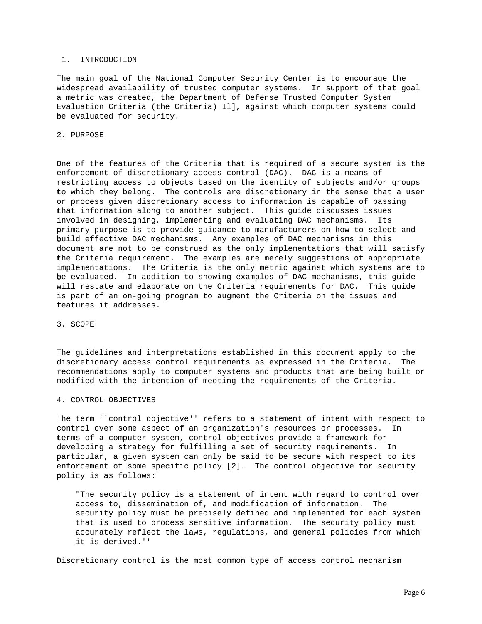#### 1. INTRODUCTION

The main goal of the National Computer Security Center is to encourage the widespread availability of trusted computer systems. In support of that goal a metric was created, the Department of Defense Trusted Computer System Evaluation Criteria (the Criteria) Il], against which computer systems could be evaluated for security.

## 2. PURPOSE

One of the features of the Criteria that is required of a secure system is the enforcement of discretionary access control (DAC). DAC is a means of restricting access to objects based on the identity of subjects and/or groups to which they belong. The controls are discretionary in the sense that a user or process given discretionary access to information is capable of passing that information along to another subject. This guide discusses issues involved in designing, implementing and evaluating DAC mechanisms. Its primary purpose is to provide guidance to manufacturers on how to select and build effective DAC mechanisms. Any examples of DAC mechanisms in this document are not to be construed as the only implementations that will satisfy the Criteria requirement. The examples are merely suggestions of appropriate implementations. The Criteria is the only metric against which systems are to be evaluated. In addition to showing examples of DAC mechanisms, this guide will restate and elaborate on the Criteria requirements for DAC. This guide is part of an on-going program to augment the Criteria on the issues and features it addresses.

#### 3. SCOPE

The guidelines and interpretations established in this document apply to the discretionary access control requirements as expressed in the Criteria. The recommendations apply to computer systems and products that are being built or modified with the intention of meeting the requirements of the Criteria.

## 4. CONTROL OBJECTIVES

The term ``control objective'' refers to a statement of intent with respect to control over some aspect of an organization's resources or processes. In terms of a computer system, control objectives provide a framework for developing a strategy for fulfilling a set of security requirements. In particular, a given system can only be said to be secure with respect to its enforcement of some specific policy [2]. The control objective for security policy is as follows:

 "The security policy is a statement of intent with regard to control over access to, dissemination of, and modification of information. The security policy must be precisely defined and implemented for each system that is used to process sensitive information. The security policy must accurately reflect the laws, regulations, and general policies from which it is derived.''

Discretionary control is the most common type of access control mechanism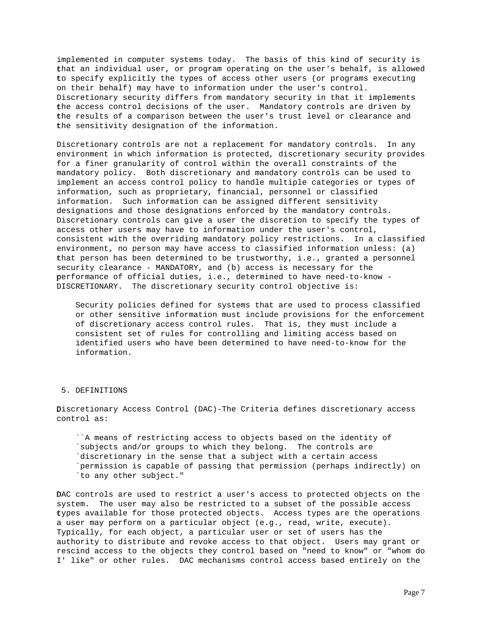implemented in computer systems today. The basis of this kind of security is that an individual user, or program operating on the user's behalf, is allowed to specify explicitly the types of access other users (or programs executing on their behalf) may have to information under the user's control. Discretionary security differs from mandatory security in that it implements the access control decisions of the user. Mandatory controls are driven by the results of a comparison between the user's trust level or clearance and the sensitivity designation of the information.

Discretionary controls are not a replacement for mandatory controls. In any environment in which information is protected, discretionary security provides for a finer granularity of control within the overall constraints of the mandatory policy. Both discretionary and mandatory controls can be used to implement an access control policy to handle multiple categories or types of information, such as proprietary, financial, personnel or classified information. Such information can be assigned different sensitivity designations and those designations enforced by the mandatory controls. Discretionary controls can give a user the discretion to specify the types of access other users may have to information under the user's control, consistent with the overriding mandatory policy restrictions. In a classified environment, no person may have access to classified information unless: (a) that person has been determined to be trustworthy, i.e., granted a personnel security clearance - MANDATORY, and (b) access is necessary for the performance of official duties, i.e., determined to have need-to-know - DISCRETIONARY. The discretionary security control objective is:

 Security policies defined for systems that are used to process classified or other sensitive information must include provisions for the enforcement of discretionary access control rules. That is, they must include a consistent set of rules for controlling and limiting access based on identified users who have been determined to have need-to-know for the information.

#### 5. DEFINITIONS

Discretionary Access Control (DAC)-The Criteria defines discretionary access control as:

 ``A means of restricting access to objects based on the identity of `subjects and/or groups to which they belong. The controls are `discretionary in the sense that a subject with a certain access `permission is capable of passing that permission (perhaps indirectly) on `to any other subject."

DAC controls are used to restrict a user's access to protected objects on the system. The user may also be restricted to a subset of the possible access types available for those protected objects. Access types are the operations a user may perform on a particular object (e.g., read, write, execute). Typically, for each object, a particular user or set of users has the authority to distribute and revoke access to that object. Users may grant or rescind access to the objects they control based on "need to know" or "whom do I' like" or other rules. DAC mechanisms control access based entirely on the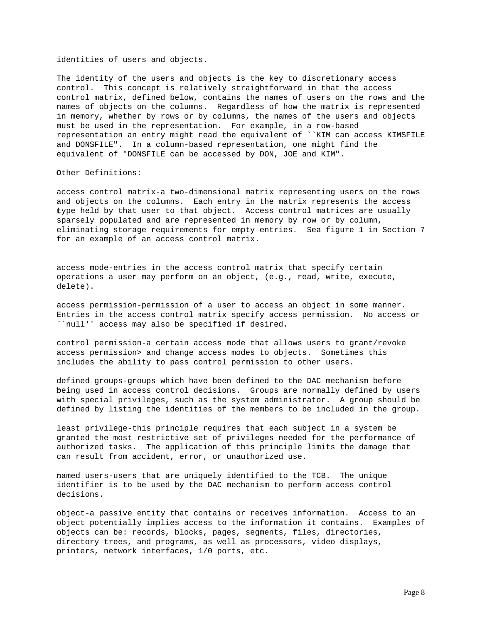identities of users and objects.

The identity of the users and objects is the key to discretionary access control. This concept is relatively straightforward in that the access control matrix, defined below, contains the names of users on the rows and the names of objects on the columns. Regardless of how the matrix is represented in memory, whether by rows or by columns, the names of the users and objects must be used in the representation. For example, in a row-based representation an entry might read the equivalent of ``KIM can access KIMSFILE and DONSFILE". In a column-based representation, one might find the equivalent of "DONSFILE can be accessed by DON, JOE and KIM".

Other Definitions:

access control matrix-a two-dimensional matrix representing users on the rows and objects on the columns. Each entry in the matrix represents the access type held by that user to that object. Access control matrices are usually sparsely populated and are represented in memory by row or by column, eliminating storage requirements for empty entries. Sea figure 1 in Section 7 for an example of an access control matrix.

access mode-entries in the access control matrix that specify certain operations a user may perform on an object, (e.g., read, write, execute, delete).

access permission-permission of a user to access an object in some manner. Entries in the access control matrix specify access permission. No access or ``null'' access may also be specified if desired.

control permission-a certain access mode that allows users to grant/revoke access permission> and change access modes to objects. Sometimes this includes the ability to pass control permission to other users.

defined groups-groups which have been defined to the DAC mechanism before being used in access control decisions. Groups are normally defined by users with special privileges, such as the system administrator. A group should be defined by listing the identities of the members to be included in the group.

least privilege-this principle requires that each subject in a system be granted the most restrictive set of privileges needed for the performance of authorized tasks. The application of this principle limits the damage that can result from accident, error, or unauthorized use.

named users-users that are uniquely identified to the TCB. The unique identifier is to be used by the DAC mechanism to perform access control decisions.

object-a passive entity that contains or receives information. Access to an object potentially implies access to the information it contains. Examples of objects can be: records, blocks, pages, segments, files, directories, directory trees, and programs, as well as processors, video displays, printers, network interfaces, 1/0 ports, etc.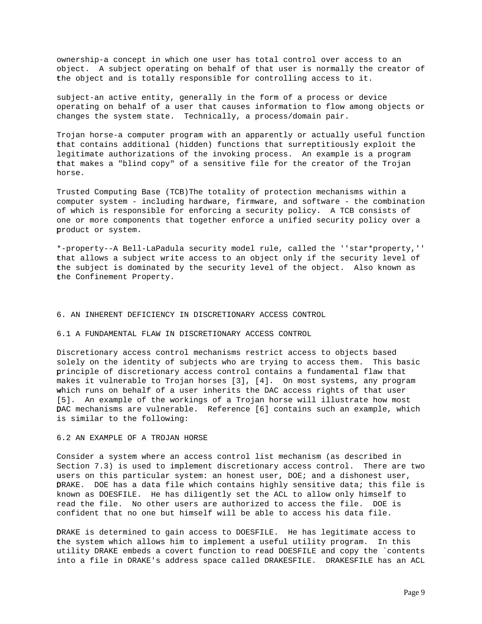ownership-a concept in which one user has total control over access to an object. A subject operating on behalf of that user is normally the creator of the object and is totally responsible for controlling access to it.

subject-an active entity, generally in the form of a process or device operating on behalf of a user that causes information to flow among objects or changes the system state. Technically, a process/domain pair.

Trojan horse-a computer program with an apparently or actually useful function that contains additional (hidden) functions that surreptitiously exploit the legitimate authorizations of the invoking process. An example is a program that makes a "blind copy" of a sensitive file for the creator of the Trojan horse.

Trusted Computing Base (TCB)The totality of protection mechanisms within a computer system - including hardware, firmware, and software - the combination of which is responsible for enforcing a security policy. A TCB consists of one or more components that together enforce a unified security policy over a product or system.

\*-property--A Bell-LaPadula security model rule, called the ''star\*property,'' that allows a subject write access to an object only if the security level of the subject is dominated by the security level of the object. Also known as the Confinement Property.

## 6. AN INHERENT DEFICIENCY IN DISCRETIONARY ACCESS CONTROL

## 6.1 A FUNDAMENTAL FLAW IN DISCRETIONARY ACCESS CONTROL

Discretionary access control mechanisms restrict access to objects based solely on the identity of subjects who are trying to access them. This basic principle of discretionary access control contains a fundamental flaw that makes it vulnerable to Trojan horses [3], [4]. On most systems, any program which runs on behalf of a user inherits the DAC access rights of that user [5]. An example of the workings of a Trojan horse will illustrate how most DAC mechanisms are vulnerable. Reference [6] contains such an example, which is similar to the following:

# 6.2 AN EXAMPLE OF A TROJAN HORSE

Consider a system where an access control list mechanism (as described in Section 7.3) is used to implement discretionary access control. There are two users on this particular system: an honest user, DOE; and a dishonest user, DRAKE. DOE has a data file which contains highly sensitive data; this file is known as DOESFILE. He has diligently set the ACL to allow only himself to read the file. No other users are authorized to access the file. DOE is confident that no one but himself will be able to access his data file.

DRAKE is determined to gain access to DOESFILE. He has legitimate access to the system which allows him to implement a useful utility program. In this utility DRAKE embeds a covert function to read DOESFILE and copy the `contents into a file in DRAKE's address space called DRAKESFILE. DRAKESFILE has an ACL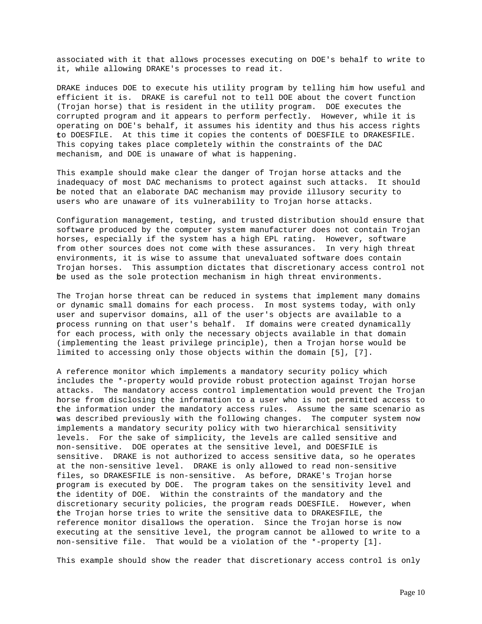associated with it that allows processes executing on DOE's behalf to write to it, while allowing DRAKE's processes to read it.

DRAKE induces DOE to execute his utility program by telling him how useful and efficient it is. DRAKE is careful not to tell DOE about the covert function (Trojan horse) that is resident in the utility program. DOE executes the corrupted program and it appears to perform perfectly. However, while it is operating on DOE's behalf, it assumes his identity and thus his access rights to DOESFILE. At this time it copies the contents of DOESFILE to DRAKESFILE. This copying takes place completely within the constraints of the DAC mechanism, and DOE is unaware of what is happening.

This example should make clear the danger of Trojan horse attacks and the inadequacy of most DAC mechanisms to protect against such attacks. It should be noted that an elaborate DAC mechanism may provide illusory security to users who are unaware of its vulnerability to Trojan horse attacks.

Configuration management, testing, and trusted distribution should ensure that software produced by the computer system manufacturer does not contain Trojan horses, especially if the system has a high EPL rating. However, software from other sources does not come with these assurances. In very high threat environments, it is wise to assume that unevaluated software does contain Trojan horses. This assumption dictates that discretionary access control not be used as the sole protection mechanism in high threat environments.

The Trojan horse threat can be reduced in systems that implement many domains or dynamic small domains for each process. In most systems today, with only user and supervisor domains, all of the user's objects are available to a process running on that user's behalf. If domains were created dynamically for each process, with only the necessary objects available in that domain (implementing the least privilege principle), then a Trojan horse would be limited to accessing only those objects within the domain [5], [7].

A reference monitor which implements a mandatory security policy which includes the \*-property would provide robust protection against Trojan horse attacks. The mandatory access control implementation would prevent the Trojan horse from disclosing the information to a user who is not permitted access to the information under the mandatory access rules. Assume the same scenario as was described previously with the following changes. The computer system now implements a mandatory security policy with two hierarchical sensitivity levels. For the sake of simplicity, the levels are called sensitive and non-sensitive. DOE operates at the sensitive level, and DOESFILE is sensitive. DRAKE is not authorized to access sensitive data, so he operates at the non-sensitive level. DRAKE is only allowed to read non-sensitive files, so DRAKESFILE is non-sensitive. As before, DRAKE's Trojan horse program is executed by DOE. The program takes on the sensitivity level and the identity of DOE. Within the constraints of the mandatory and the discretionary security policies, the program reads DOESFILE. However, when the Trojan horse tries to write the sensitive data to DRAKESFILE, the reference monitor disallows the operation. Since the Trojan horse is now executing at the sensitive level, the program cannot be allowed to write to a non-sensitive file. That would be a violation of the \*-property [1]. 

This example should show the reader that discretionary access control is only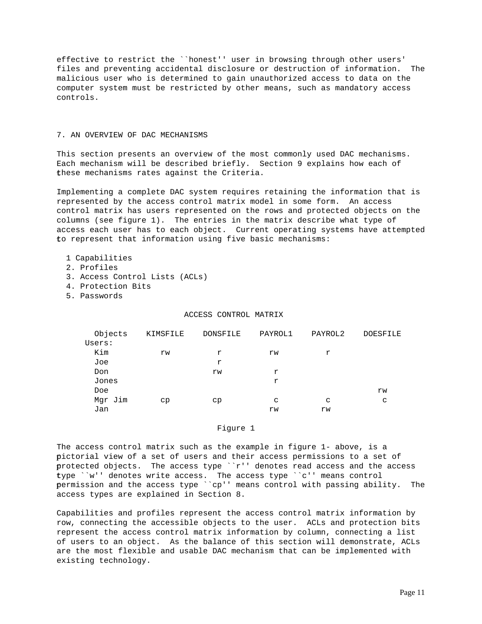effective to restrict the ``honest'' user in browsing through other users' files and preventing accidental disclosure or destruction of information. The malicious user who is determined to gain unauthorized access to data on the computer system must be restricted by other means, such as mandatory access controls.

## 7. AN OVERVIEW OF DAC MECHANISMS

This section presents an overview of the most commonly used DAC mechanisms. Each mechanism will be described briefly. Section 9 explains how each of these mechanisms rates against the Criteria.

Implementing a complete DAC system requires retaining the information that is represented by the access control matrix model in some form. An access control matrix has users represented on the rows and protected objects on the columns (see figure 1). The entries in the matrix describe what type of access each user has to each object. Current operating systems have attempted to represent that information using five basic mechanisms:

- 1 Capabilities
- 2. Profiles
- 3. Access Control Lists (ACLs)
- 4. Protection Bits
- 5. Passwords

## ACCESS CONTROL MATRIX

| Objects | KIMSFILE | DONSFILE | PAYROL1 | PAYROL2 | <b>DOESFILE</b> |
|---------|----------|----------|---------|---------|-----------------|
| Users:  |          |          |         |         |                 |
| Kim     | rw       | r        | rw      | r       |                 |
| Joe     |          | r        |         |         |                 |
| Don     |          | rw       | r       |         |                 |
| Jones   |          |          | r       |         |                 |
| Doe     |          |          |         |         | rw              |
| Mgr Jim | cp       | cp       | C       | C       | C               |
| Jan     |          |          | rw      | rw      |                 |

## Figure 1

The access control matrix such as the example in figure 1- above, is a pictorial view of a set of users and their access permissions to a set of protected objects. The access type ``r'' denotes read access and the access type ``w'' denotes write access. The access type ``c'' means control permission and the access type ``cp'' means control with passing ability. The access types are explained in Section 8.

Capabilities and profiles represent the access control matrix information by row, connecting the accessible objects to the user. ACLs and protection bits represent the access control matrix information by column, connecting a list of users to an object. As the balance of this section will demonstrate, ACLs are the most flexible and usable DAC mechanism that can be implemented with existing technology.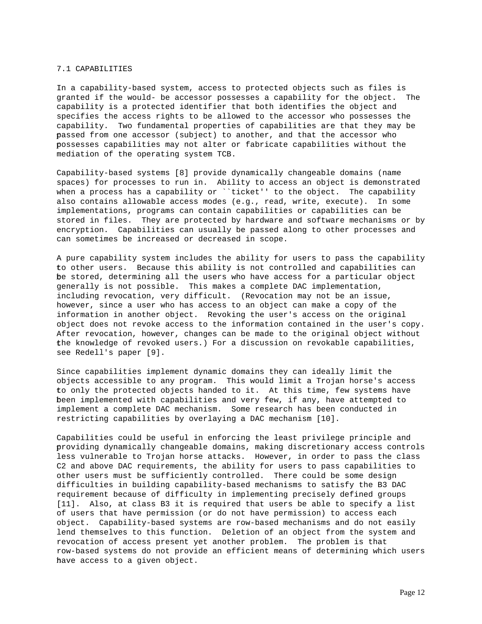## 7.1 CAPABILITIES

In a capability-based system, access to protected objects such as files is granted if the would- be accessor possesses a capability for the object. The capability is a protected identifier that both identifies the object and specifies the access rights to be allowed to the accessor who possesses the capability. Two fundamental properties of capabilities are that they may be passed from one accessor (subject) to another, and that the accessor who possesses capabilities may not alter or fabricate capabilities without the mediation of the operating system TCB.

Capability-based systems [8] provide dynamically changeable domains (name spaces) for processes to run in. Ability to access an object is demonstrated when a process has a capability or ``ticket'' to the object. The capability also contains allowable access modes (e.g., read, write, execute). In some implementations, programs can contain capabilities or capabilities can be stored in files. They are protected by hardware and software mechanisms or by encryption. Capabilities can usually be passed along to other processes and can sometimes be increased or decreased in scope.

A pure capability system includes the ability for users to pass the capability to other users. Because this ability is not controlled and capabilities can be stored, determining all the users who have access for a particular object generally is not possible. This makes a complete DAC implementation, including revocation, very difficult. (Revocation may not be an issue, however, since a user who has access to an object can make a copy of the information in another object. Revoking the user's access on the original object does not revoke access to the information contained in the user's copy. After revocation, however, changes can be made to the original object without the knowledge of revoked users.) For a discussion on revokable capabilities, see Redell's paper [9].

Since capabilities implement dynamic domains they can ideally limit the objects accessible to any program. This would limit a Trojan horse's access to only the protected objects handed to it. At this time, few systems have been implemented with capabilities and very few, if any, have attempted to implement a complete DAC mechanism. Some research has been conducted in restricting capabilities by overlaying a DAC mechanism [10].

Capabilities could be useful in enforcing the least privilege principle and providing dynamically changeable domains, making discretionary access controls less vulnerable to Trojan horse attacks. However, in order to pass the class C2 and above DAC requirements, the ability for users to pass capabilities to other users must be sufficiently controlled. There could be some design difficulties in building capability-based mechanisms to satisfy the B3 DAC requirement because of difficulty in implementing precisely defined groups [11]. Also, at class B3 it is required that users be able to specify a list of users that have permission (or do not have permission) to access each object. Capability-based systems are row-based mechanisms and do not easily lend themselves to this function. Deletion of an object from the system and revocation of access present yet another problem. The problem is that row-based systems do not provide an efficient means of determining which users have access to a given object.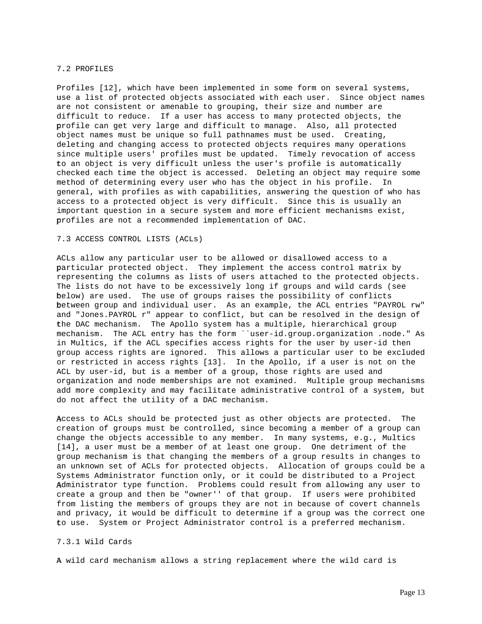### 7.2 PROFILES

Profiles [12], which have been implemented in some form on several systems, use a list of protected objects associated with each user. Since object names are not consistent or amenable to grouping, their size and number are difficult to reduce. If a user has access to many protected objects, the profile can get very large and difficult to manage. Also, all protected object names must be unique so full pathnames must be used. Creating, deleting and changing access to protected objects requires many operations since multiple users' profiles must be updated. Timely revocation of access to an object is very difficult unless the user's profile is automatically checked each time the object is accessed. Deleting an object may require some method of determining every user who has the object in his profile. In general, with profiles as with capabilities, answering the question of who has access to a protected object is very difficult. Since this is usually an important question in a secure system and more efficient mechanisms exist, profiles are not a recommended implementation of DAC.

## 7.3 ACCESS CONTROL LISTS (ACLs)

ACLs allow any particular user to be allowed or disallowed access to a particular protected object. They implement the access control matrix by representing the columns as lists of users attached to the protected objects. The lists do not have to be excessively long if groups and wild cards (see below) are used. The use of groups raises the possibility of conflicts between group and individual user. As an example, the ACL entries "PAYROL rw" and "Jones.PAYROL r" appear to conflict, but can be resolved in the design of the DAC mechanism. The Apollo system has a multiple, hierarchical group mechanism. The ACL entry has the form ``user-id.group.organization .node." As in Multics, if the ACL specifies access rights for the user by user-id then group access rights are ignored. This allows a particular user to be excluded or restricted in access rights [13]. In the Apollo, if a user is not on the ACL by user-id, but is a member of a group, those rights are used and organization and node memberships are not examined. Multiple group mechanisms add more complexity and may facilitate administrative control of a system, but do not affect the utility of a DAC mechanism.

Access to ACLs should be protected just as other objects are protected. The creation of groups must be controlled, since becoming a member of a group can change the objects accessible to any member. In many systems, e.g., Multics [14], a user must be a member of at least one group. One detriment of the group mechanism is that changing the members of a group results in changes to an unknown set of ACLs for protected objects. Allocation of groups could be a Systems Administrator function only, or it could be distributed to a Project Administrator type function. Problems could result from allowing any user to create a group and then be "owner'' of that group. If users were prohibited from listing the members of groups they are not in because of covert channels and privacy, it would be difficult to determine if a group was the correct one to use. System or Project Administrator control is a preferred mechanism.

## 7.3.1 Wild Cards

A wild card mechanism allows a string replacement where the wild card is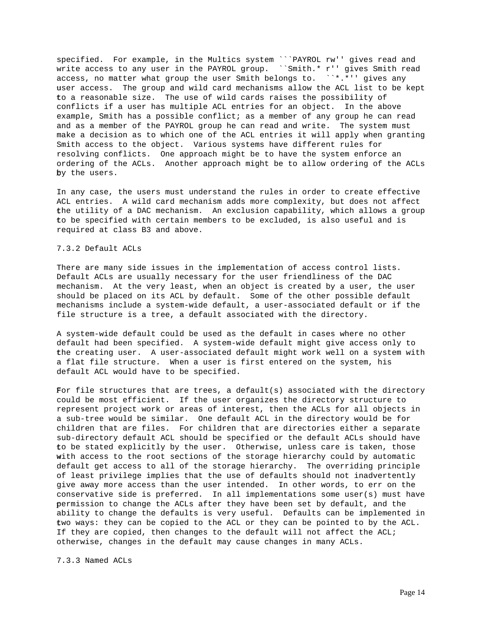specified. For example, in the Multics system ```PAYROL rw'' gives read and write access to any user in the PAYROL group. ``Smith.\* r'' gives Smith read access, no matter what group the user Smith belongs to. ``\*.\*'' gives any user access. The group and wild card mechanisms allow the ACL list to be kept to a reasonable size. The use of wild cards raises the possibility of conflicts if a user has multiple ACL entries for an object. In the above example, Smith has a possible conflict; as a member of any group he can read and as a member of the PAYROL group he can read and write. The system must make a decision as to which one of the ACL entries it will apply when granting Smith access to the object. Various systems have different rules for resolving conflicts. One approach might be to have the system enforce an ordering of the ACLs. Another approach might be to allow ordering of the ACLs by the users.

In any case, the users must understand the rules in order to create effective ACL entries. A wild card mechanism adds more complexity, but does not affect the utility of a DAC mechanism. An exclusion capability, which allows a group to be specified with certain members to be excluded, is also useful and is required at class B3 and above.

# 7.3.2 Default ACLs

There are many side issues in the implementation of access control lists. Default ACLs are usually necessary for the user friendliness of the DAC mechanism. At the very least, when an object is created by a user, the user should be placed on its ACL by default. Some of the other possible default mechanisms include a system-wide default, a user-associated default or if the file structure is a tree, a default associated with the directory.

A system-wide default could be used as the default in cases where no other default had been specified. A system-wide default might give access only to the creating user. A user-associated default might work well on a system with a flat file structure. When a user is first entered on the system, his default ACL would have to be specified.

For file structures that are trees, a default(s) associated with the directory could be most efficient. If the user organizes the directory structure to represent project work or areas of interest, then the ACLs for all objects in a sub-tree would be similar. One default ACL in the directory would be for children that are files. For children that are directories either a separate sub-directory default ACL should be specified or the default ACLs should have to be stated explicitly by the user. Otherwise, unless care is taken, those with access to the root sections of the storage hierarchy could by automatic default get access to all of the storage hierarchy. The overriding principle of least privilege implies that the use of defaults should not inadvertently give away more access than the user intended. In other words, to err on the conservative side is preferred. In all implementations some user(s) must have permission to change the ACLs after they have been set by default, and the ability to change the defaults is very useful. Defaults can be implemented in two ways: they can be copied to the ACL or they can be pointed to by the ACL. If they are copied, then changes to the default will not affect the ACL; otherwise, changes in the default may cause changes in many ACLs.

7.3.3 Named ACLs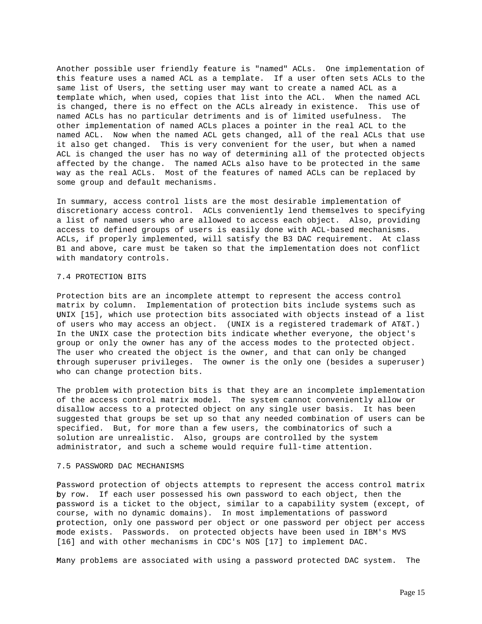Another possible user friendly feature is "named" ACLs. One implementation of this feature uses a named ACL as a template. If a user often sets ACLs to the same list of Users, the setting user may want to create a named ACL as a template which, when used, copies that list into the ACL. When the named ACL is changed, there is no effect on the ACLs already in existence. This use of named ACLs has no particular detriments and is of limited usefulness. The other implementation of named ACLs places a pointer in the real ACL to the named ACL. Now when the named ACL gets changed, all of the real ACLs that use it also get changed. This is very convenient for the user, but when a named ACL is changed the user has no way of determining all of the protected objects affected by the change. The named ACLs also have to be protected in the same way as the real ACLs. Most of the features of named ACLs can be replaced by some group and default mechanisms.

In summary, access control lists are the most desirable implementation of discretionary access control. ACLs conveniently lend themselves to specifying a list of named users who are allowed to access each object. Also, providing access to defined groups of users is easily done with ACL-based mechanisms. ACLs, if properly implemented, will satisfy the B3 DAC requirement. At class B1 and above, care must be taken so that the implementation does not conflict with mandatory controls.

### 7.4 PROTECTION BITS

Protection bits are an incomplete attempt to represent the access control matrix by column. Implementation of protection bits include systems such as UNIX [15], which use protection bits associated with objects instead of a list of users who may access an object. (UNIX is a registered trademark of AT&T.) In the UNIX case the protection bits indicate whether everyone, the object's group or only the owner has any of the access modes to the protected object. The user who created the object is the owner, and that can only be changed through superuser privileges. The owner is the only one (besides a superuser) who can change protection bits.

The problem with protection bits is that they are an incomplete implementation of the access control matrix model. The system cannot conveniently allow or disallow access to a protected object on any single user basis. It has been suggested that groups be set up so that any needed combination of users can be specified. But, for more than a few users, the combinatorics of such a solution are unrealistic. Also, groups are controlled by the system administrator, and such a scheme would require full-time attention.

# 7.5 PASSWORD DAC MECHANISMS

Password protection of objects attempts to represent the access control matrix by row. If each user possessed his own password to each object, then the password is a ticket to the object, similar to a capability system (except, of course, with no dynamic domains). In most implementations of password protection, only one password per object or one password per object per access mode exists. Passwords. on protected objects have been used in IBM's MVS [16] and with other mechanisms in CDC's NOS [17] to implement DAC.

Many problems are associated with using a password protected DAC system. The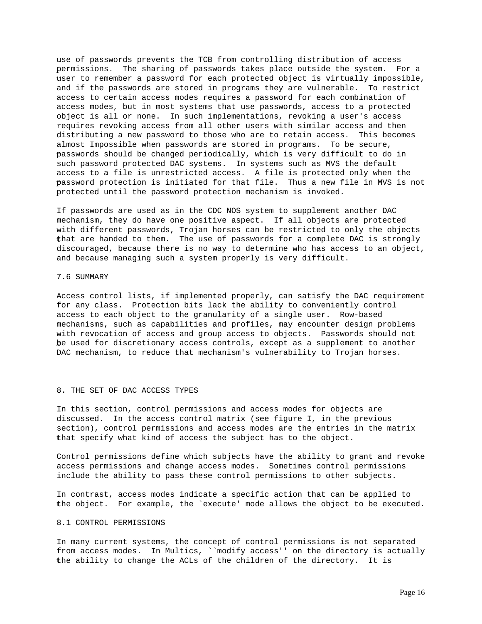use of passwords prevents the TCB from controlling distribution of access permissions. The sharing of passwords takes place outside the system. For a user to remember a password for each protected object is virtually impossible, and if the passwords are stored in programs they are vulnerable. To restrict access to certain access modes requires a password for each combination of access modes, but in most systems that use passwords, access to a protected object is all or none. In such implementations, revoking a user's access requires revoking access from all other users with similar access and then distributing a new password to those who are to retain access. This becomes almost Impossible when passwords are stored in programs. To be secure, passwords should be changed periodically, which is very difficult to do in such password protected DAC systems. In systems such as MVS the default access to a file is unrestricted access. A file is protected only when the password protection is initiated for that file. Thus a new file in MVS is not protected until the password protection mechanism is invoked.

If passwords are used as in the CDC NOS system to supplement another DAC mechanism, they do have one positive aspect. If all objects are protected with different passwords, Trojan horses can be restricted to only the objects that are handed to them. The use of passwords for a complete DAC is strongly discouraged, because there is no way to determine who has access to an object, and because managing such a system properly is very difficult.

## 7.6 SUMMARY

Access control lists, if implemented properly, can satisfy the DAC requirement for any class. Protection bits lack the ability to conveniently control access to each object to the granularity of a single user. Row-based mechanisms, such as capabilities and profiles, may encounter design problems with revocation of access and group access to objects. Passwords should not be used for discretionary access controls, except as a supplement to another DAC mechanism, to reduce that mechanism's vulnerability to Trojan horses.

#### 8. THE SET OF DAC ACCESS TYPES

In this section, control permissions and access modes for objects are discussed. In the access control matrix (see figure I, in the previous section), control permissions and access modes are the entries in the matrix that specify what kind of access the subject has to the object.

Control permissions define which subjects have the ability to grant and revoke access permissions and change access modes. Sometimes control permissions include the ability to pass these control permissions to other subjects.

In contrast, access modes indicate a specific action that can be applied to the object. For example, the `execute' mode allows the object to be executed.

## 8.1 CONTROL PERMISSIONS

In many current systems, the concept of control permissions is not separated from access modes. In Multics, ``modify access'' on the directory is actually the ability to change the ACLs of the children of the directory. It is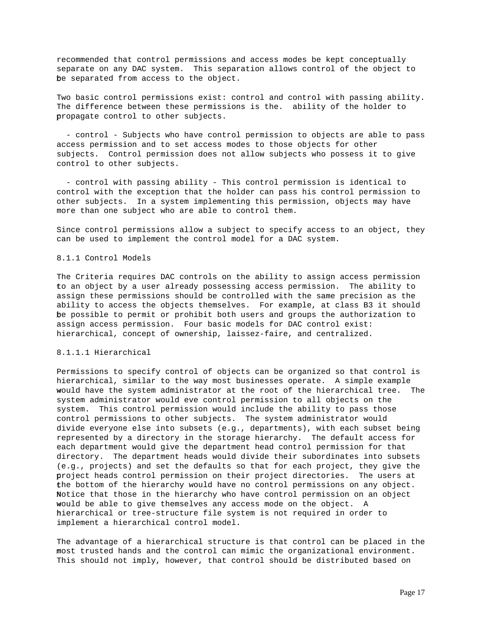recommended that control permissions and access modes be kept conceptually separate on any DAC system. This separation allows control of the object to be separated from access to the object.

Two basic control permissions exist: control and control with passing ability. The difference between these permissions is the. ability of the holder to propagate control to other subjects.

 - control - Subjects who have control permission to objects are able to pass access permission and to set access modes to those objects for other subjects. Control permission does not allow subjects who possess it to give control to other subjects.

 - control with passing ability - This control permission is identical to control with the exception that the holder can pass his control permission to other subjects. In a system implementing this permission, objects may have more than one subject who are able to control them.

Since control permissions allow a subject to specify access to an object, they can be used to implement the control model for a DAC system.

8.1.1 Control Models

The Criteria requires DAC controls on the ability to assign access permission to an object by a user already possessing access permission. The ability to assign these permissions should be controlled with the same precision as the ability to access the objects themselves. For example, at class B3 it should be possible to permit or prohibit both users and groups the authorization to assign access permission. Four basic models for DAC control exist: hierarchical, concept of ownership, laissez-faire, and centralized.

# 8.1.1.1 Hierarchical

Permissions to specify control of objects can be organized so that control is hierarchical, similar to the way most businesses operate. A simple example would have the system administrator at the root of the hierarchical tree. The system administrator would eve control permission to all objects on the system. This control permission would include the ability to pass those control permissions to other subjects. The system administrator would divide everyone else into subsets (e.g., departments), with each subset being represented by a directory in the storage hierarchy. The default access for each department would give the department head control permission for that directory. The department heads would divide their subordinates into subsets (e.g., projects) and set the defaults so that for each project, they give the project heads control permission on their project directories. The users at the bottom of the hierarchy would have no control permissions on any object. Notice that those in the hierarchy who have control permission on an object would be able to give themselves any access mode on the object. A hierarchical or tree-structure file system is not required in order to implement a hierarchical control model.

The advantage of a hierarchical structure is that control can be placed in the most trusted hands and the control can mimic the organizational environment. This should not imply, however, that control should be distributed based on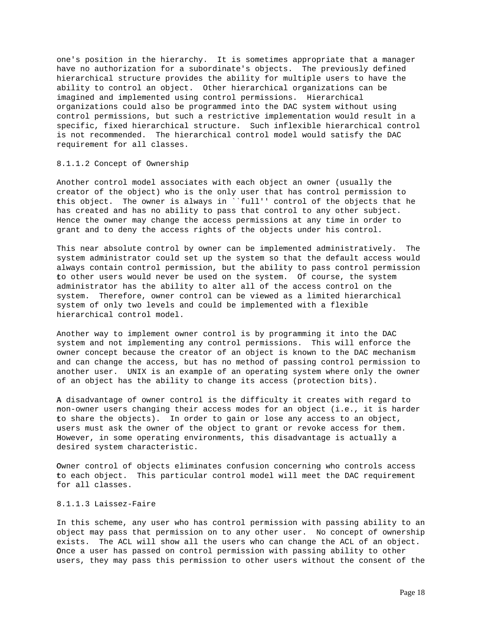one's position in the hierarchy. It is sometimes appropriate that a manager have no authorization for a subordinate's objects. The previously defined hierarchical structure provides the ability for multiple users to have the ability to control an object. Other hierarchical organizations can be imagined and implemented using control permissions. Hierarchical organizations could also be programmed into the DAC system without using control permissions, but such a restrictive implementation would result in a specific, fixed hierarchical structure. Such inflexible hierarchical control is not recommended. The hierarchical control model would satisfy the DAC requirement for all classes.

# 8.1.1.2 Concept of Ownership

Another control model associates with each object an owner (usually the creator of the object) who is the only user that has control permission to this object. The owner is always in ``full'' control of the objects that he has created and has no ability to pass that control to any other subject. Hence the owner may change the access permissions at any time in order to grant and to deny the access rights of the objects under his control.

This near absolute control by owner can be implemented administratively. The system administrator could set up the system so that the default access would always contain control permission, but the ability to pass control permission to other users would never be used on the system. Of course, the system administrator has the ability to alter all of the access control on the system. Therefore, owner control can be viewed as a limited hierarchical system of only two levels and could be implemented with a flexible hierarchical control model.

Another way to implement owner control is by programming it into the DAC system and not implementing any control permissions. This will enforce the owner concept because the creator of an object is known to the DAC mechanism and can change the access, but has no method of passing control permission to another user. UNIX is an example of an operating system where only the owner of an object has the ability to change its access (protection bits).

A disadvantage of owner control is the difficulty it creates with regard to non-owner users changing their access modes for an object (i.e., it is harder to share the objects). In order to gain or lose any access to an object, users must ask the owner of the object to grant or revoke access for them. However, in some operating environments, this disadvantage is actually a desired system characteristic.

Owner control of objects eliminates confusion concerning who controls access to each object. This particular control model will meet the DAC requirement for all classes.

# 8.1.1.3 Laissez-Faire

In this scheme, any user who has control permission with passing ability to an object may pass that permission on to any other user. No concept of ownership exists. The ACL will show all the users who can change the ACL of an object. Once a user has passed on control permission with passing ability to other users, they may pass this permission to other users without the consent of the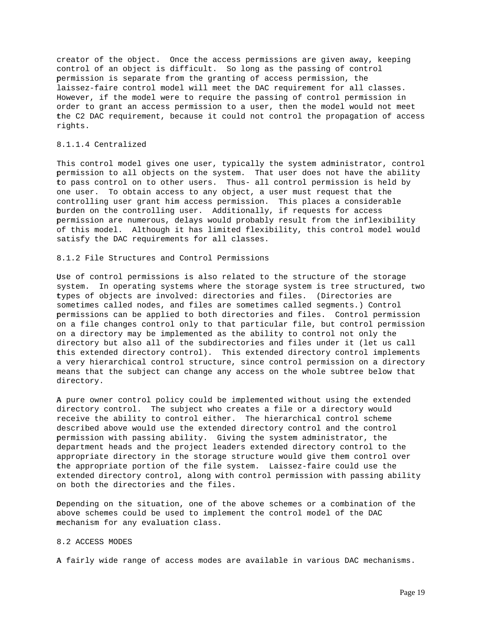creator of the object. Once the access permissions are given away, keeping control of an object is difficult. So long as the passing of control permission is separate from the granting of access permission, the laissez-faire control model will meet the DAC requirement for all classes. However, if the model were to require the passing of control permission in order to grant an access permission to a user, then the model would not meet the C2 DAC requirement, because it could not control the propagation of access rights.

## 8.1.1.4 Centralized

This control model gives one user, typically the system administrator, control permission to all objects on the system. That user does not have the ability to pass control on to other users. Thus- all control permission is held by one user. To obtain access to any object, a user must request that the controlling user grant him access permission. This places a considerable burden on the controlling user. Additionally, if requests for access permission are numerous, delays would probably result from the inflexibility of this model. Although it has limited flexibility, this control model would satisfy the DAC requirements for all classes.

# 8.1.2 File Structures and Control Permissions

Use of control permissions is also related to the structure of the storage system. In operating systems where the storage system is tree structured, two types of objects are involved: directories and files. (Directories are sometimes called nodes, and files are sometimes called segments.) Control permissions can be applied to both directories and files. Control permission on a file changes control only to that particular file, but control permission on a directory may be implemented as the ability to control not only the directory but also all of the subdirectories and files under it (let us call this extended directory control). This extended directory control implements a very hierarchical control structure, since control permission on a directory means that the subject can change any access on the whole subtree below that directory.

A pure owner control policy could be implemented without using the extended directory control. The subject who creates a file or a directory would receive the ability to control either. The hierarchical control scheme described above would use the extended directory control and the control permission with passing ability. Giving the system administrator, the department heads and the project leaders extended directory control to the appropriate directory in the storage structure would give them control over the appropriate portion of the file system. Laissez-faire could use the extended directory control, along with control permission with passing ability on both the directories and the files.

Depending on the situation, one of the above schemes or a combination of the above schemes could be used to implement the control model of the DAC mechanism for any evaluation class.

## 8.2 ACCESS MODES

A fairly wide range of access modes are available in various DAC mechanisms.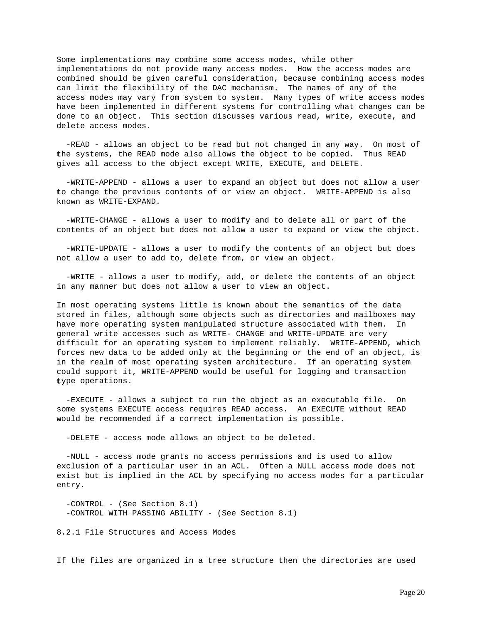Some implementations may combine some access modes, while other implementations do not provide many access modes. How the access modes are combined should be given careful consideration, because combining access modes can limit the flexibility of the DAC mechanism. The names of any of the access modes may vary from system to system. Many types of write access modes have been implemented in different systems for controlling what changes can be done to an object. This section discusses various read, write, execute, and delete access modes.

 -READ - allows an object to be read but not changed in any way. On most of the systems, the READ mode also allows the object to be copied. Thus READ gives all access to the object except WRITE, EXECUTE, and DELETE.

 -WRITE-APPEND - allows a user to expand an object but does not allow a user to change the previous contents of or view an object. WRITE-APPEND is also known as WRITE-EXPAND.

 -WRITE-CHANGE - allows a user to modify and to delete all or part of the contents of an object but does not allow a user to expand or view the object.

 -WRITE-UPDATE - allows a user to modify the contents of an object but does not allow a user to add to, delete from, or view an object.

 -WRITE - allows a user to modify, add, or delete the contents of an object in any manner but does not allow a user to view an object.

In most operating systems little is known about the semantics of the data stored in files, although some objects such as directories and mailboxes may have more operating system manipulated structure associated with them. In general write accesses such as WRITE- CHANGE and WRITE-UPDATE are very difficult for an operating system to implement reliably. WRITE-APPEND, which forces new data to be added only at the beginning or the end of an object, is in the realm of most operating system architecture. If an operating system could support it, WRITE-APPEND would be useful for logging and transaction type operations.

 -EXECUTE - allows a subject to run the object as an executable file. On some systems EXECUTE access requires READ access. An EXECUTE without READ would be recommended if a correct implementation is possible.

-DELETE - access mode allows an object to be deleted.

 -NULL - access mode grants no access permissions and is used to allow exclusion of a particular user in an ACL. Often a NULL access mode does not exist but is implied in the ACL by specifying no access modes for a particular entry.

 -CONTROL - (See Section 8.1) -CONTROL WITH PASSING ABILITY - (See Section 8.1)

8.2.1 File Structures and Access Modes

If the files are organized in a tree structure then the directories are used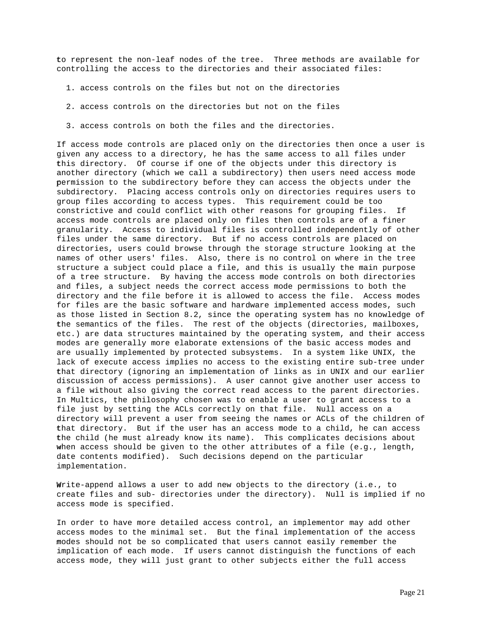to represent the non-leaf nodes of the tree. Three methods are available for controlling the access to the directories and their associated files:

- 1. access controls on the files but not on the directories
- 2. access controls on the directories but not on the files
- 3. access controls on both the files and the directories.

If access mode controls are placed only on the directories then once a user is given any access to a directory, he has the same access to all files under this directory. Of course if one of the objects under this directory is another directory (which we call a subdirectory) then users need access mode permission to the subdirectory before they can access the objects under the subdirectory. Placing access controls only on directories requires users to group files according to access types. This requirement could be too constrictive and could conflict with other reasons for grouping files. If access mode controls are placed only on files then controls are of a finer granularity. Access to individual files is controlled independently of other files under the same directory. But if no access controls are placed on directories, users could browse through the storage structure looking at the names of other users' files. Also, there is no control on where in the tree structure a subject could place a file, and this is usually the main purpose of a tree structure. By having the access mode controls on both directories and files, a subject needs the correct access mode permissions to both the directory and the file before it is allowed to access the file. Access modes for files are the basic software and hardware implemented access modes, such as those listed in Section 8.2, since the operating system has no knowledge of the semantics of the files. The rest of the objects (directories, mailboxes, etc.) are data structures maintained by the operating system, and their access modes are generally more elaborate extensions of the basic access modes and are usually implemented by protected subsystems. In a system like UNIX, the lack of execute access implies no access to the existing entire sub-tree under that directory (ignoring an implementation of links as in UNIX and our earlier discussion of access permissions). A user cannot give another user access to a file without also giving the correct read access to the parent directories. In Multics, the philosophy chosen was to enable a user to grant access to a file just by setting the ACLs correctly on that file. Null access on a directory will prevent a user from seeing the names or ACLs of the children of that directory. But if the user has an access mode to a child, he can access the child (he must already know its name). This complicates decisions about when access should be given to the other attributes of a file (e.g., length, date contents modified). Such decisions depend on the particular implementation.

Write-append allows a user to add new objects to the directory (i.e., to create files and sub- directories under the directory). Null is implied if no access mode is specified.

In order to have more detailed access control, an implementor may add other access modes to the minimal set. But the final implementation of the access modes should not be so complicated that users cannot easily remember the implication of each mode. If users cannot distinguish the functions of each access mode, they will just grant to other subjects either the full access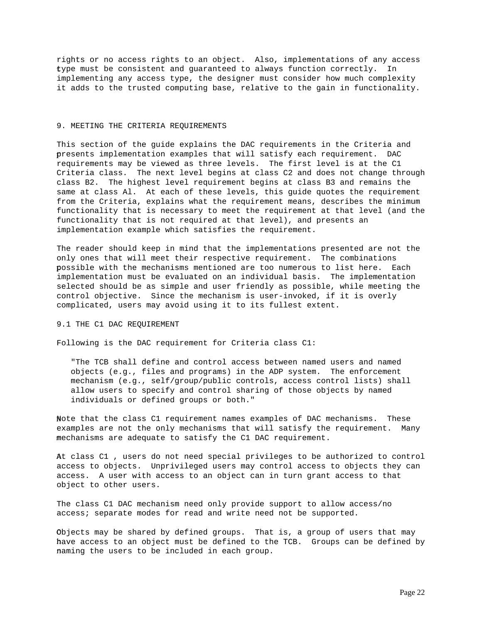rights or no access rights to an object. Also, implementations of any access type must be consistent and guaranteed to always function correctly. In implementing any access type, the designer must consider how much complexity it adds to the trusted computing base, relative to the gain in functionality.

## 9. MEETING THE CRITERIA REQUIREMENTS

This section of the guide explains the DAC requirements in the Criteria and presents implementation examples that will satisfy each requirement. DAC requirements may be viewed as three levels. The first level is at the C1 Criteria class. The next level begins at class C2 and does not change through class B2. The highest level requirement begins at class B3 and remains the same at class Al. At each of these levels, this guide quotes the requirement from the Criteria, explains what the requirement means, describes the minimum functionality that is necessary to meet the requirement at that level (and the functionality that is not required at that level), and presents an implementation example which satisfies the requirement.

The reader should keep in mind that the implementations presented are not the only ones that will meet their respective requirement. The combinations possible with the mechanisms mentioned are too numerous to list here. Each implementation must be evaluated on an individual basis. The implementation selected should be as simple and user friendly as possible, while meeting the control objective. Since the mechanism is user-invoked, if it is overly complicated, users may avoid using it to its fullest extent.

#### 9.1 THE C1 DAC REQUIREMENT

Following is the DAC requirement for Criteria class C1:

 "The TCB shall define and control access between named users and named objects (e.g., files and programs) in the ADP system. The enforcement mechanism (e.g., self/group/public controls, access control lists) shall allow users to specify and control sharing of those objects by named individuals or defined groups or both."

Note that the class C1 requirement names examples of DAC mechanisms. These examples are not the only mechanisms that will satisfy the requirement. Many mechanisms are adequate to satisfy the C1 DAC requirement.

At class C1 , users do not need special privileges to be authorized to control access to objects. Unprivileged users may control access to objects they can access. A user with access to an object can in turn grant access to that object to other users.

The class C1 DAC mechanism need only provide support to allow access/no access; separate modes for read and write need not be supported.

Objects may be shared by defined groups. That is, a group of users that may have access to an object must be defined to the TCB. Groups can be defined by naming the users to be included in each group.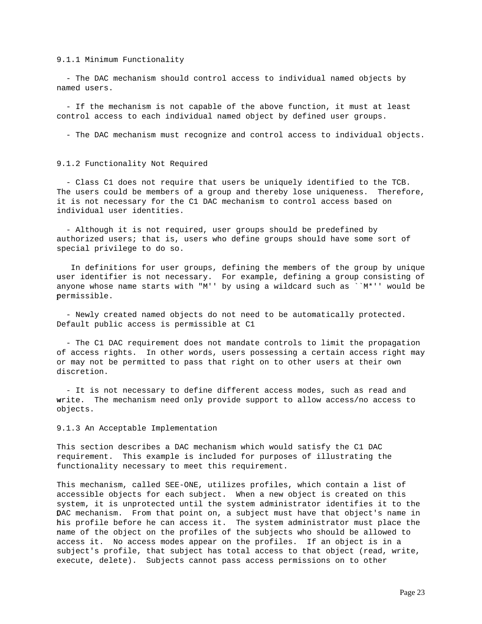9.1.1 Minimum Functionality

 - The DAC mechanism should control access to individual named objects by named users.

 - If the mechanism is not capable of the above function, it must at least control access to each individual named object by defined user groups.

- The DAC mechanism must recognize and control access to individual objects.

## 9.1.2 Functionality Not Required

 - Class C1 does not require that users be uniquely identified to the TCB. The users could be members of a group and thereby lose uniqueness. Therefore, it is not necessary for the C1 DAC mechanism to control access based on individual user identities.

 - Although it is not required, user groups should be predefined by authorized users; that is, users who define groups should have some sort of special privilege to do so.

 In definitions for user groups, defining the members of the group by unique user identifier is not necessary. For example, defining a group consisting of anyone whose name starts with "M'' by using a wildcard such as ``M\*'' would be permissible.

 - Newly created named objects do not need to be automatically protected. Default public access is permissible at C1

 - The C1 DAC requirement does not mandate controls to limit the propagation of access rights. In other words, users possessing a certain access right may or may not be permitted to pass that right on to other users at their own discretion.

 - It is not necessary to define different access modes, such as read and write. The mechanism need only provide support to allow access/no access to objects.

9.1.3 An Acceptable Implementation

This section describes a DAC mechanism which would satisfy the C1 DAC requirement. This example is included for purposes of illustrating the functionality necessary to meet this requirement.

This mechanism, called SEE-ONE, utilizes profiles, which contain a list of accessible objects for each subject. When a new object is created on this system, it is unprotected until the system administrator identifies it to the DAC mechanism. From that point on, a subject must have that object's name in his profile before he can access it. The system administrator must place the name of the object on the profiles of the subjects who should be allowed to access it. No access modes appear on the profiles. If an object is in a subject's profile, that subject has total access to that object (read, write, execute, delete). Subjects cannot pass access permissions on to other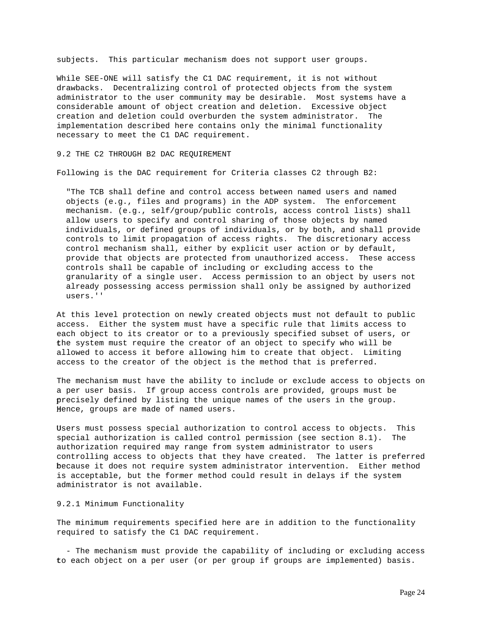subjects. This particular mechanism does not support user groups.

While SEE-ONE will satisfy the C1 DAC requirement, it is not without drawbacks. Decentralizing control of protected objects from the system administrator to the user community may be desirable. Most systems have a considerable amount of object creation and deletion. Excessive object creation and deletion could overburden the system administrator. The implementation described here contains only the minimal functionality necessary to meet the C1 DAC requirement.

## 9.2 THE C2 THROUGH B2 DAC REQUIREMENT

Following is the DAC requirement for Criteria classes C2 through B2:

 "The TCB shall define and control access between named users and named objects (e.g., files and programs) in the ADP system. The enforcement mechanism. (e.g., self/group/public controls, access control lists) shall allow users to specify and control sharing of those objects by named individuals, or defined groups of individuals, or by both, and shall provide controls to limit propagation of access rights. The discretionary access control mechanism shall, either by explicit user action or by default, provide that objects are protected from unauthorized access. These access controls shall be capable of including or excluding access to the granularity of a single user. Access permission to an object by users not already possessing access permission shall only be assigned by authorized users.''

At this level protection on newly created objects must not default to public access. Either the system must have a specific rule that limits access to each object to its creator or to a previously specified subset of users, or the system must require the creator of an object to specify who will be allowed to access it before allowing him to create that object. Limiting access to the creator of the object is the method that is preferred.

The mechanism must have the ability to include or exclude access to objects on a per user basis. If group access controls are provided, groups must be precisely defined by listing the unique names of the users in the group. Hence, groups are made of named users.

Users must possess special authorization to control access to objects. This special authorization is called control permission (see section 8.1). The authorization required may range from system administrator to users controlling access to objects that they have created. The latter is preferred because it does not require system administrator intervention. Either method is acceptable, but the former method could result in delays if the system administrator is not available.

## 9.2.1 Minimum Functionality

The minimum requirements specified here are in addition to the functionality required to satisfy the C1 DAC requirement.

 - The mechanism must provide the capability of including or excluding access to each object on a per user (or per group if groups are implemented) basis.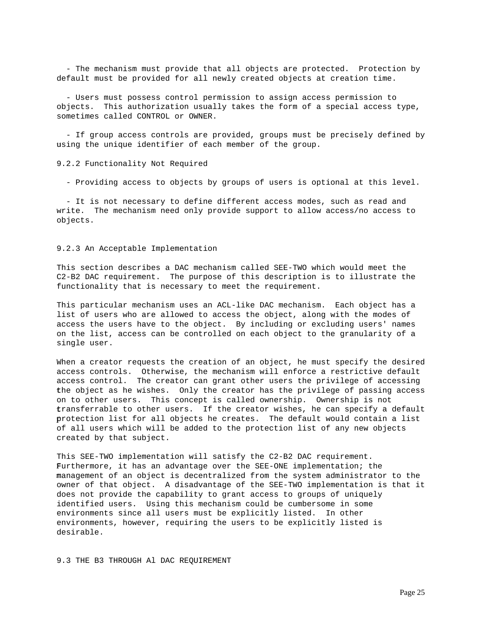- The mechanism must provide that all objects are protected. Protection by default must be provided for all newly created objects at creation time.

 - Users must possess control permission to assign access permission to objects. This authorization usually takes the form of a special access type, sometimes called CONTROL or OWNER.

 - If group access controls are provided, groups must be precisely defined by using the unique identifier of each member of the group.

9.2.2 Functionality Not Required

- Providing access to objects by groups of users is optional at this level.

 - It is not necessary to define different access modes, such as read and write. The mechanism need only provide support to allow access/no access to objects.

9.2.3 An Acceptable Implementation

This section describes a DAC mechanism called SEE-TWO which would meet the C2-B2 DAC requirement. The purpose of this description is to illustrate the functionality that is necessary to meet the requirement.

This particular mechanism uses an ACL-like DAC mechanism. Each object has a list of users who are allowed to access the object, along with the modes of access the users have to the object. By including or excluding users' names on the list, access can be controlled on each object to the granularity of a single user.

When a creator requests the creation of an object, he must specify the desired access controls. Otherwise, the mechanism will enforce a restrictive default access control. The creator can grant other users the privilege of accessing the object as he wishes. Only the creator has the privilege of passing access on to other users. This concept is called ownership. Ownership is not transferrable to other users. If the creator wishes, he can specify a default protection list for all objects he creates. The default would contain a list of all users which will be added to the protection list of any new objects created by that subject.

This SEE-TWO implementation will satisfy the C2-B2 DAC requirement. Furthermore, it has an advantage over the SEE-ONE implementation; the  management of an object is decentralized from the system administrator to the owner of that object. A disadvantage of the SEE-TWO implementation is that it does not provide the capability to grant access to groups of uniquely identified users. Using this mechanism could be cumbersome in some environments since all users must be explicitly listed. In other environments, however, requiring the users to be explicitly listed is desirable.

9.3 THE B3 THROUGH Al DAC REQUIREMENT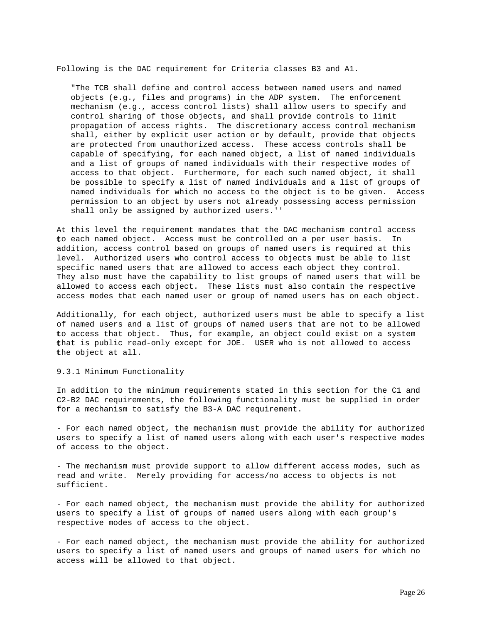Following is the DAC requirement for Criteria classes B3 and A1.

 "The TCB shall define and control access between named users and named objects (e.g., files and programs) in the ADP system. The enforcement mechanism (e.g., access control lists) shall allow users to specify and control sharing of those objects, and shall provide controls to limit propagation of access rights. The discretionary access control mechanism shall, either by explicit user action or by default, provide that objects are protected from unauthorized access. These access controls shall be capable of specifying, for each named object, a list of named individuals and a list of groups of named individuals with their respective modes of access to that object. Furthermore, for each such named object, it shall be possible to specify a list of named individuals and a list of groups of named individuals for which no access to the object is to be given. Access permission to an object by users not already possessing access permission shall only be assigned by authorized users.''

At this level the requirement mandates that the DAC mechanism control access to each named object. Access must be controlled on a per user basis. In addition, access control based on groups of named users is required at this level. Authorized users who control access to objects must be able to list specific named users that are allowed to access each object they control. They also must have the capability to list groups of named users that will be allowed to access each object. These lists must also contain the respective access modes that each named user or group of named users has on each object.

Additionally, for each object, authorized users must be able to specify a list of named users and a list of groups of named users that are not to be allowed to access that object. Thus, for example, an object could exist on a system that is public read-only except for JOE. USER who is not allowed to access the object at all.

9.3.1 Minimum Functionality

In addition to the minimum requirements stated in this section for the C1 and C2-B2 DAC requirements, the following functionality must be supplied in order for a mechanism to satisfy the B3-A DAC requirement.

- For each named object, the mechanism must provide the ability for authorized users to specify a list of named users along with each user's respective modes of access to the object.

- The mechanism must provide support to allow different access modes, such as read and write. Merely providing for access/no access to objects is not sufficient.

- For each named object, the mechanism must provide the ability for authorized users to specify a list of groups of named users along with each group's respective modes of access to the object.

- For each named object, the mechanism must provide the ability for authorized users to specify a list of named users and groups of named users for which no access will be allowed to that object.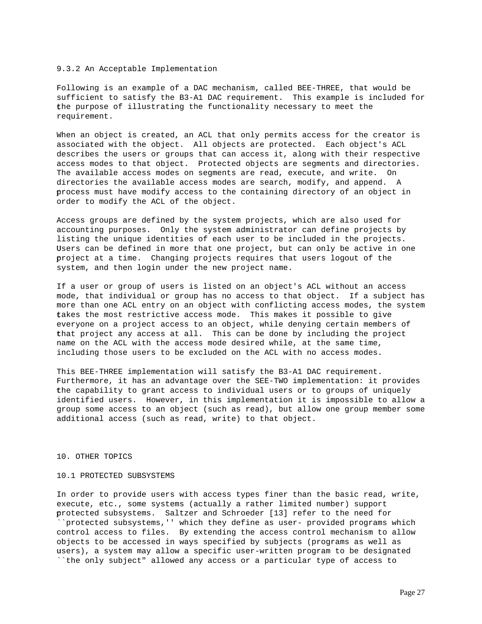## 9.3.2 An Acceptable Implementation

Following is an example of a DAC mechanism, called BEE-THREE, that would be sufficient to satisfy the B3-A1 DAC requirement. This example is included for the purpose of illustrating the functionality necessary to meet the requirement.

When an object is created, an ACL that only permits access for the creator is associated with the object. All objects are protected. Each object's ACL describes the users or groups that can access it, along with their respective access modes to that object. Protected objects are segments and directories. The available access modes on segments are read, execute, and write. On directories the available access modes are search, modify, and append. process must have modify access to the containing directory of an object in order to modify the ACL of the object.

Access groups are defined by the system projects, which are also used for accounting purposes. Only the system administrator can define projects by listing the unique identities of each user to be included in the projects. Users can be defined in more that one project, but can only be active in one project at a time. Changing projects requires that users logout of the system, and then login under the new project name.

If a user or group of users is listed on an object's ACL without an access mode, that individual or group has no access to that object. If a subject has more than one ACL entry on an object with conflicting access modes, the system takes the most restrictive access mode. This makes it possible to give everyone on a project access to an object, while denying certain members of that project any access at all. This can be done by including the project name on the ACL with the access mode desired while, at the same time, including those users to be excluded on the ACL with no access modes.

This BEE-THREE implementation will satisfy the B3-A1 DAC requirement. Furthermore, it has an advantage over the SEE-TWO implementation: it provides the capability to grant access to individual users or to groups of uniquely identified users. However, in this implementation it is impossible to allow a group some access to an object (such as read), but allow one group member some additional access (such as read, write) to that object.

#### 10. OTHER TOPICS

## 10.1 PROTECTED SUBSYSTEMS

In order to provide users with access types finer than the basic read, write, execute, etc., some systems (actually a rather limited number) support protected subsystems. Saltzer and Schroeder [13] refer to the need for ``protected subsystems,'' which they define as user- provided programs which control access to files. By extending the access control mechanism to allow objects to be accessed in ways specified by subjects (programs as well as users), a system may allow a specific user-written program to be designated ``the only subject" allowed any access or a particular type of access to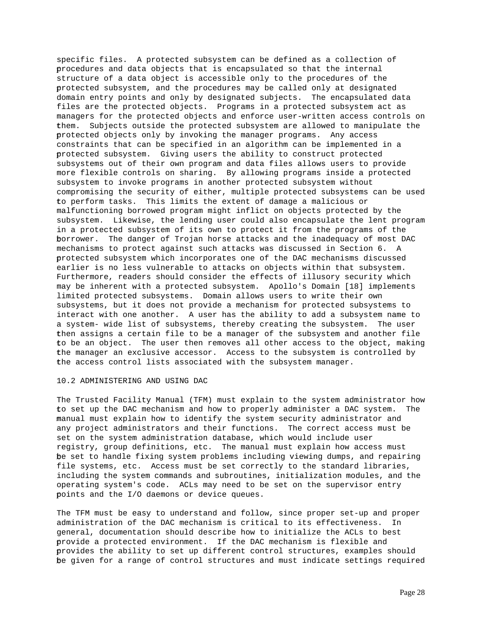specific files. A protected subsystem can be defined as a collection of procedures and data objects that is encapsulated so that the internal structure of a data object is accessible only to the procedures of the protected subsystem, and the procedures may be called only at designated domain entry points and only by designated subjects. The encapsulated data files are the protected objects. Programs in a protected subsystem act as managers for the protected objects and enforce user-written access controls on them. Subjects outside the protected subsystem are allowed to manipulate the protected objects only by invoking the manager programs. Any access constraints that can be specified in an algorithm can be implemented in a protected subsystem. Giving users the ability to construct protected subsystems out of their own program and data files allows users to provide more flexible controls on sharing. By allowing programs inside a protected subsystem to invoke programs in another protected subsystem without compromising the security of either, multiple protected subsystems can be used to perform tasks. This limits the extent of damage a malicious or malfunctioning borrowed program might inflict on objects protected by the subsystem. Likewise, the lending user could also encapsulate the lent program in a protected subsystem of its own to protect it from the programs of the borrower. The danger of Trojan horse attacks and the inadequacy of most DAC mechanisms to protect against such attacks was discussed in Section 6. A protected subsystem which incorporates one of the DAC mechanisms discussed earlier is no less vulnerable to attacks on objects within that subsystem. Furthermore, readers should consider the effects of illusory security which may be inherent with a protected subsystem. Apollo's Domain [18] implements limited protected subsystems. Domain allows users to write their own subsystems, but it does not provide a mechanism for protected subsystems to interact with one another. A user has the ability to add a subsystem name to a system- wide list of subsystems, thereby creating the subsystem. The user then assigns a certain file to be a manager of the subsystem and another file to be an object. The user then removes all other access to the object, making the manager an exclusive accessor. Access to the subsystem is controlled by the access control lists associated with the subsystem manager.

#### 10.2 ADMINISTERING AND USING DAC

The Trusted Facility Manual (TFM) must explain to the system administrator how to set up the DAC mechanism and how to properly administer a DAC system. The manual must explain how to identify the system security administrator and any project administrators and their functions. The correct access must be set on the system administration database, which would include user registry, group definitions, etc. The manual must explain how access must be set to handle fixing system problems including viewing dumps, and repairing file systems, etc. Access must be set correctly to the standard libraries, including the system commands and subroutines, initialization modules, and the operating system's code. ACLs may need to be set on the supervisor entry points and the I/O daemons or device queues.

The TFM must be easy to understand and follow, since proper set-up and proper administration of the DAC mechanism is critical to its effectiveness. In general, documentation should describe how to initialize the ACLs to best provide a protected environment. If the DAC mechanism is flexible and provides the ability to set up different control structures, examples should be given for a range of control structures and must indicate settings required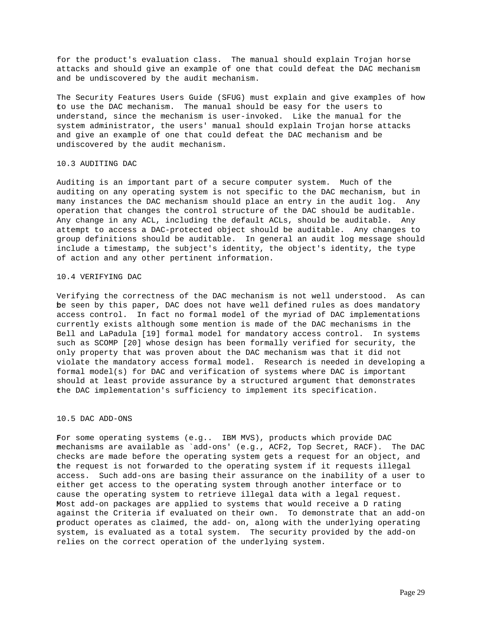for the product's evaluation class. The manual should explain Trojan horse attacks and should give an example of one that could defeat the DAC mechanism and be undiscovered by the audit mechanism.

The Security Features Users Guide (SFUG) must explain and give examples of how to use the DAC mechanism. The manual should be easy for the users to understand, since the mechanism is user-invoked. Like the manual for the system administrator, the users' manual should explain Trojan horse attacks and give an example of one that could defeat the DAC mechanism and be undiscovered by the audit mechanism.

## 10.3 AUDITING DAC

Auditing is an important part of a secure computer system. Much of the auditing on any operating system is not specific to the DAC mechanism, but in many instances the DAC mechanism should place an entry in the audit log. Any operation that changes the control structure of the DAC should be auditable. Any change in any ACL, including the default ACLs, should be auditable. Any attempt to access a DAC-protected object should be auditable. Any changes to group definitions should be auditable. In general an audit log message should include a timestamp, the subject's identity, the object's identity, the type of action and any other pertinent information.

## 10.4 VERIFYING DAC

Verifying the correctness of the DAC mechanism is not well understood. As can be seen by this paper, DAC does not have well defined rules as does mandatory access control. In fact no formal model of the myriad of DAC implementations currently exists although some mention is made of the DAC mechanisms in the Bell and LaPadula [19] formal model for mandatory access control. In systems such as SCOMP [20] whose design has been formally verified for security, the only property that was proven about the DAC mechanism was that it did not violate the mandatory access formal model. Research is needed in developing a formal model(s) for DAC and verification of systems where DAC is important should at least provide assurance by a structured argument that demonstrates the DAC implementation's sufficiency to implement its specification.

## 10.5 DAC ADD-ONS

For some operating systems (e.g.. IBM MVS), products which provide DAC  mechanisms are available as `add-ons' (e.g., ACF2, Top Secret, RACF). The DAC checks are made before the operating system gets a request for an object, and the request is not forwarded to the operating system if it requests illegal access. Such add-ons are basing their assurance on the inability of a user to either get access to the operating system through another interface or to cause the operating system to retrieve illegal data with a legal request. Most add-on packages are applied to systems that would receive a D rating against the Criteria if evaluated on their own. To demonstrate that an add-on product operates as claimed, the add- on, along with the underlying operating system, is evaluated as a total system. The security provided by the add-on relies on the correct operation of the underlying system.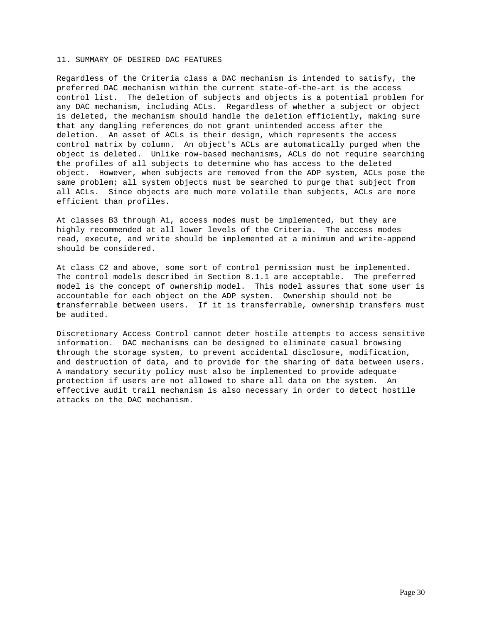## 11. SUMMARY OF DESIRED DAC FEATURES

Regardless of the Criteria class a DAC mechanism is intended to satisfy, the preferred DAC mechanism within the current state-of-the-art is the access control list. The deletion of subjects and objects is a potential problem for any DAC mechanism, including ACLs. Regardless of whether a subject or object is deleted, the mechanism should handle the deletion efficiently, making sure that any dangling references do not grant unintended access after the deletion. An asset of ACLs is their design, which represents the access control matrix by column. An object's ACLs are automatically purged when the object is deleted. Unlike row-based mechanisms, ACLs do not require searching the profiles of all subjects to determine who has access to the deleted object. However, when subjects are removed from the ADP system, ACLs pose the same problem; all system objects must be searched to purge that subject from all ACLs. Since objects are much more volatile than subjects, ACLs are more efficient than profiles.

At classes B3 through A1, access modes must be implemented, but they are highly recommended at all lower levels of the Criteria. The access modes read, execute, and write should be implemented at a minimum and write-append should be considered.

At class C2 and above, some sort of control permission must be implemented. The control models described in Section 8.1.1 are acceptable. The preferred model is the concept of ownership model. This model assures that some user is accountable for each object on the ADP system. Ownership should not be transferrable between users. If it is transferrable, ownership transfers must be audited.

Discretionary Access Control cannot deter hostile attempts to access sensitive information. DAC mechanisms can be designed to eliminate casual browsing through the storage system, to prevent accidental disclosure, modification, and destruction of data, and to provide for the sharing of data between users. A mandatory security policy must also be implemented to provide adequate protection if users are not allowed to share all data on the system. An effective audit trail mechanism is also necessary in order to detect hostile attacks on the DAC mechanism.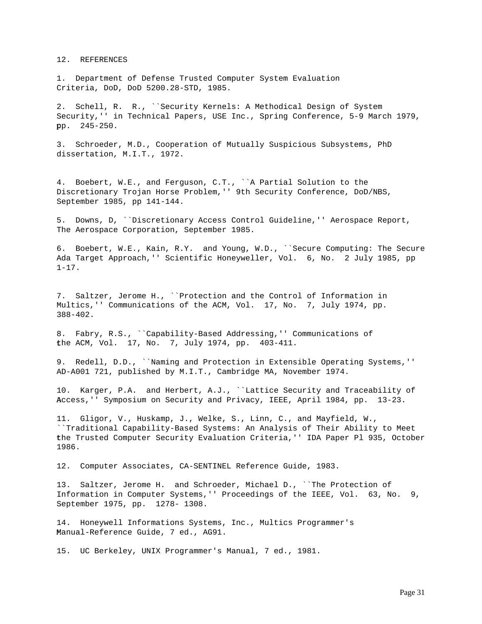12. REFERENCES

1. Department of Defense Trusted Computer System Evaluation Criteria, DoD, DoD 5200.28-STD, 1985.

2. Schell, R. R., ``Security Kernels: A Methodical Design of System Security,'' in Technical Papers, USE Inc., Spring Conference, 5-9 March 1979, pp. 245-250.

3. Schroeder, M.D., Cooperation of Mutually Suspicious Subsystems, PhD dissertation, M.I.T., 1972.

4. Boebert, W.E., and Ferguson, C.T., ``A Partial Solution to the Discretionary Trojan Horse Problem,'' 9th Security Conference, DoD/NBS, September 1985, pp 141-144.

5. Downs, D, ``Discretionary Access Control Guideline,'' Aerospace Report, The Aerospace Corporation, September 1985.

6. Boebert, W.E., Kain, R.Y. and Young, W.D., ``Secure Computing: The Secure Ada Target Approach,'' Scientific Honeyweller, Vol. 6, No. 2 July 1985, pp 1-17.

7. Saltzer, Jerome H., ``Protection and the Control of Information in Multics,'' Communications of the ACM, Vol. 17, No. 7, July 1974, pp. 388-402.

8. Fabry, R.S., ``Capability-Based Addressing,'' Communications of the ACM, Vol. 17, No. 7, July 1974, pp. 403-411.

9. Redell, D.D., ``Naming and Protection in Extensible Operating Systems,'' AD-A001 721, published by M.I.T., Cambridge MA, November 1974.

10. Karger, P.A. and Herbert, A.J., ``Lattice Security and Traceability of Access,'' Symposium on Security and Privacy, IEEE, April 1984, pp. 13-23.

11. Gligor, V., Huskamp, J., Welke, S., Linn, C., and Mayfield, W., ``Traditional Capability-Based Systems: An Analysis of Their Ability to Meet the Trusted Computer Security Evaluation Criteria,'' IDA Paper Pl 935, October 1986.

12. Computer Associates, CA-SENTINEL Reference Guide, 1983.

13. Saltzer, Jerome H. and Schroeder, Michael D., ``The Protection of Information in Computer Systems,'' Proceedings of the IEEE, Vol. 63, No. 9, September 1975, pp. 1278- 1308.

14. Honeywell Informations Systems, Inc., Multics Programmer's Manual-Reference Guide, 7 ed., AG91.

15. UC Berkeley, UNIX Programmer's Manual, 7 ed., 1981.